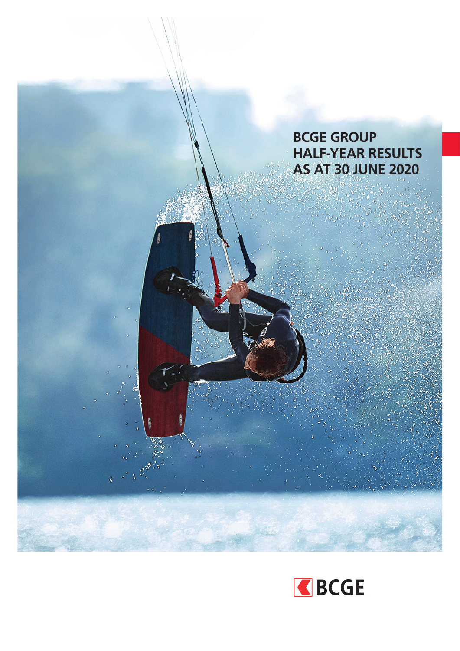

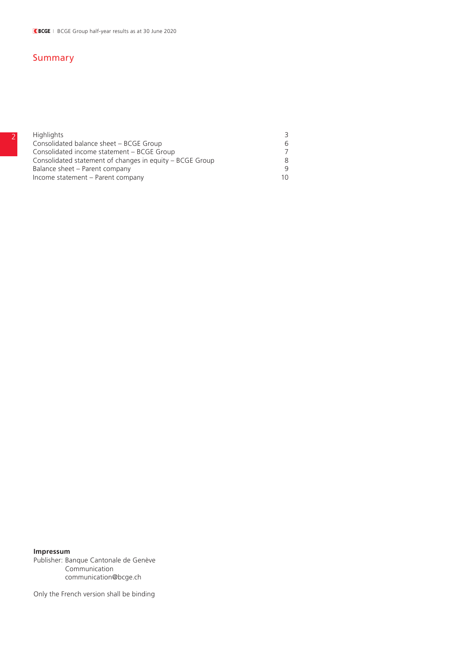## Summary

| <b>Highlights</b>                                        | 3  |
|----------------------------------------------------------|----|
| Consolidated balance sheet - BCGE Group                  | 6  |
| Consolidated income statement – BCGE Group               |    |
| Consolidated statement of changes in equity - BCGE Group | 8  |
| Balance sheet – Parent company                           | q  |
| Income statement - Parent company                        | 10 |

### **Impressum**

Publisher: Banque Cantonale de Genève Communication communication@bcge.ch

Only the French version shall be binding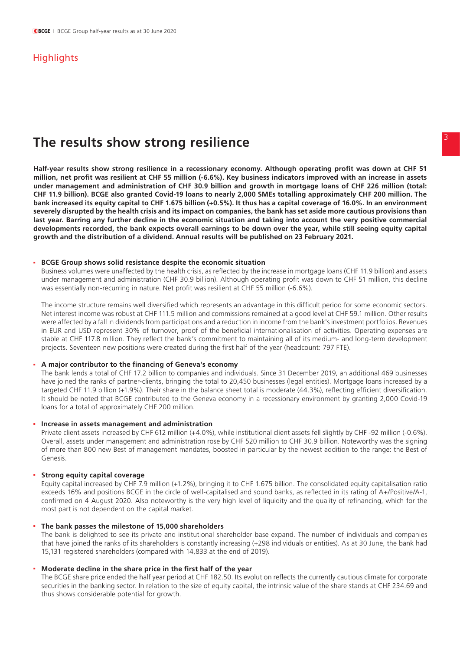## **Highlights**

# <sup>3</sup> **The results show strong resilience**

**Half-year results show strong resilience in a recessionary economy. Although operating profit was down at CHF 51 million, net profit was resilient at CHF 55 million (-6.6%). Key business indicators improved with an increase in assets under management and administration of CHF 30.9 billion and growth in mortgage loans of CHF 226 million (total: CHF 11.9 billion). BCGE also granted Covid-19 loans to nearly 2,000 SMEs totalling approximately CHF 200 million. The bank increased its equity capital to CHF 1.675 billion (+0.5%). It thus has a capital coverage of 16.0%. In an environment severely disrupted by the health crisis and its impact on companies, the bank has set aside more cautious provisions than last year. Barring any further decline in the economic situation and taking into account the very positive commercial developments recorded, the bank expects overall earnings to be down over the year, while still seeing equity capital growth and the distribution of a dividend. Annual results will be published on 23 February 2021.**

### **. BCGE Group shows solid resistance despite the economic situation**

 Business volumes were unaffected by the health crisis, as reflected by the increase in mortgage loans (CHF 11.9 billion) and assets under management and administration (CHF 30.9 billion). Although operating profit was down to CHF 51 million, this decline was essentially non-recurring in nature. Net profit was resilient at CHF 55 million (-6.6%).

The income structure remains well diversified which represents an advantage in this difficult period for some economic sectors. Net interest income was robust at CHF 111.5 million and commissions remained at a good level at CHF 59.1 million. Other results were affected by a fall in dividends from participations and a reduction in income from the bank's investment portfolios. Revenues in EUR and USD represent 30% of turnover, proof of the beneficial internationalisation of activities. Operating expenses are stable at CHF 117.8 million. They reflect the bank's commitment to maintaining all of its medium- and long-term development projects. Seventeen new positions were created during the first half of the year (headcount: 797 FTE).

#### **. A major contributor to the financing of Geneva's economy**

The bank lends a total of CHF 17.2 billion to companies and individuals. Since 31 December 2019, an additional 469 businesses have joined the ranks of partner-clients, bringing the total to 20,450 businesses (legal entities). Mortgage loans increased by a targeted CHF 11.9 billion (+1.9%). Their share in the balance sheet total is moderate (44.3%), reflecting efficient diversification. It should be noted that BCGE contributed to the Geneva economy in a recessionary environment by granting 2,000 Covid-19 loans for a total of approximately CHF 200 million.

#### **. Increase in assets management and administration**

 Private client assets increased by CHF 612 million (+4.0%), while institutional client assets fell slightly by CHF -92 million (-0.6%). Overall, assets under management and administration rose by CHF 520 million to CHF 30.9 billion. Noteworthy was the signing of more than 800 new Best of management mandates, boosted in particular by the newest addition to the range: the Best of Genesis.

### **. Strong equity capital coverage**

 Equity capital increased by CHF 7.9 million (+1.2%), bringing it to CHF 1.675 billion. The consolidated equity capitalisation ratio exceeds 16% and positions BCGE in the circle of well-capitalised and sound banks, as reflected in its rating of A+/Positive/A-1, confirmed on 4 August 2020. Also noteworthy is the very high level of liquidity and the quality of refinancing, which for the most part is not dependent on the capital market.

#### **. The bank passes the milestone of 15,000 shareholders**

 The bank is delighted to see its private and institutional shareholder base expand. The number of individuals and companies that have joined the ranks of its shareholders is constantly increasing (+298 individuals or entities). As at 30 June, the bank had 15,131 registered shareholders (compared with 14,833 at the end of 2019).

### **. Moderate decline in the share price in the first half of the year**

 The BCGE share price ended the half year period at CHF 182.50. Its evolution reflects the currently cautious climate for corporate securities in the banking sector. In relation to the size of equity capital, the intrinsic value of the share stands at CHF 234.69 and thus shows considerable potential for growth.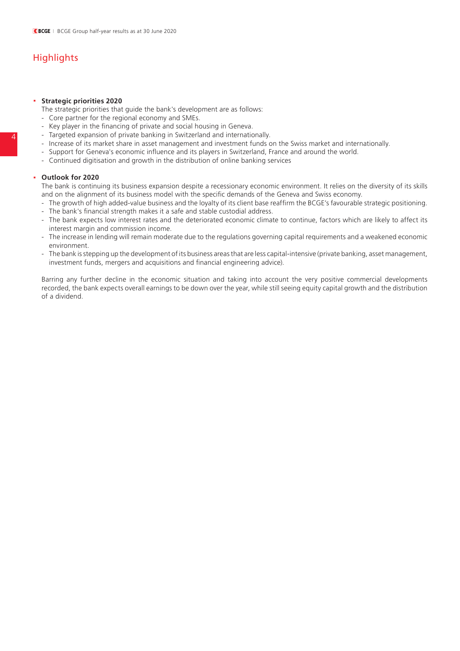# **Highlights**

### **. Strategic priorities 2020**

The strategic priorities that guide the bank's development are as follows:

- Core partner for the regional economy and SMEs.
- Key player in the financing of private and social housing in Geneva.
- Targeted expansion of private banking in Switzerland and internationally.
- Increase of its market share in asset management and investment funds on the Swiss market and internationally.
- Support for Geneva's economic influence and its players in Switzerland, France and around the world.
- Continued digitisation and growth in the distribution of online banking services

### **. Outlook for 2020**

 The bank is continuing its business expansion despite a recessionary economic environment. It relies on the diversity of its skills and on the alignment of its business model with the specific demands of the Geneva and Swiss economy.

- The growth of high added-value business and the loyalty of its client base reaffirm the BCGE's favourable strategic positioning.
- The bank's financial strength makes it a safe and stable custodial address.
- The bank expects low interest rates and the deteriorated economic climate to continue, factors which are likely to affect its interest margin and commission income.
- The increase in lending will remain moderate due to the regulations governing capital requirements and a weakened economic environment.
- The bank is stepping up the development of its business areas that are less capital-intensive (private banking, asset management, investment funds, mergers and acquisitions and financial engineering advice).

Barring any further decline in the economic situation and taking into account the very positive commercial developments recorded, the bank expects overall earnings to be down over the year, while still seeing equity capital growth and the distribution of a dividend.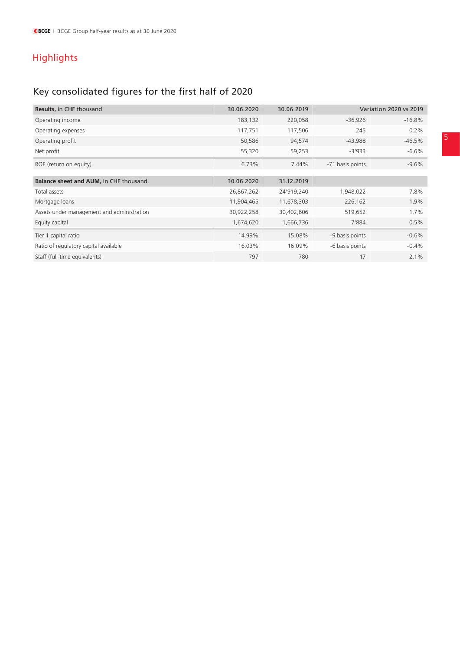# Highlights

# Key consolidated figures for the first half of 2020

| <b>Results, in CHF thousand</b>            | 30.06.2020 | 30.06.2019 | <b>Variation 2020 vs 2019</b> |          |  |
|--------------------------------------------|------------|------------|-------------------------------|----------|--|
| Operating income                           | 183,132    | 220,058    | $-36,926$                     | $-16.8%$ |  |
| Operating expenses                         | 117,751    | 117,506    | 245                           | $0.2\%$  |  |
| Operating profit                           | 50,586     | 94,574     | $-43,988$                     | $-46.5%$ |  |
| Net profit                                 | 55,320     | 59,253     | $-3'933$                      | $-6.6\%$ |  |
| ROE (return on equity)                     | 6.73%      | 7.44%      | -71 basis points              | $-9.6%$  |  |
|                                            |            |            |                               |          |  |
| Balance sheet and AUM, in CHF thousand     | 30.06.2020 | 31.12.2019 |                               |          |  |
| Total assets                               | 26,867,262 | 24'919,240 | 1,948,022                     | 7.8%     |  |
| Mortgage loans                             | 11,904,465 | 11,678,303 | 226,162                       | 1.9%     |  |
| Assets under management and administration | 30,922,258 | 30,402,606 | 519,652                       | 1.7%     |  |
| Equity capital                             | 1,674,620  | 1,666,736  | 7'884                         | 0.5%     |  |
| Tier 1 capital ratio                       | 14.99%     | 15.08%     | -9 basis points               | $-0.6%$  |  |
| Ratio of regulatory capital available      | 16.03%     | 16.09%     | -6 basis points               | $-0.4%$  |  |
| Staff (full-time equivalents)              | 797        | 780        | 17                            | 2.1%     |  |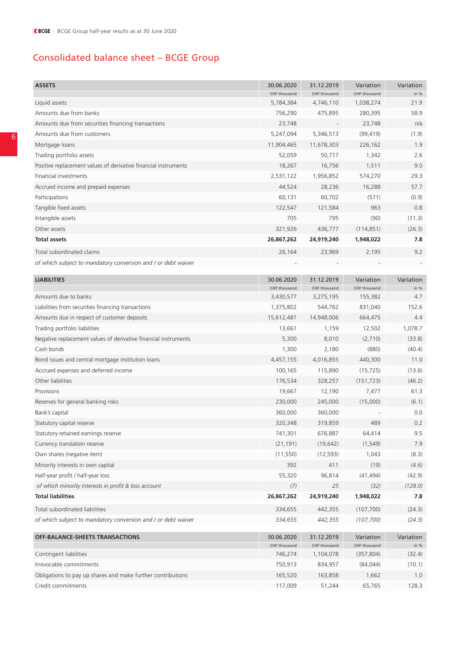# Consolidated balance sheet – BCGE Group

| <b>ASSETS</b>                                                   | 30.06.2020   | 31.12.2019   | Variation    | Variation |
|-----------------------------------------------------------------|--------------|--------------|--------------|-----------|
|                                                                 | CHF thousand | CHF thousand | CHF thousand | in %      |
| Liquid assets                                                   | 5,784,384    | 4,746,110    | 1,038,274    | 21.9      |
| Amounts due from banks                                          | 756,290      | 475,895      | 280,395      | 58.9      |
| Amounts due from securities financing transactions              | 23,748       |              | 23,748       | n/a       |
| Amounts due from customers                                      | 5,247,094    | 5,346,513    | (99, 419)    | (1.9)     |
| Mortgage loans                                                  | 11,904,465   | 11,678,303   | 226,162      | 1.9       |
| Trading portfolio assets                                        | 52,059       | 50,717       | 1,342        | 2.6       |
| Positive replacement values of derivative financial instruments | 18,267       | 16,756       | 1,511        | 9.0       |
| Financial investments                                           | 2,531,122    | 1,956,852    | 574,270      | 29.3      |
| Accrued income and prepaid expenses                             | 44,524       | 28,236       | 16,288       | 57.7      |
| Participations                                                  | 60,131       | 60,702       | (571)        | (0.9)     |
| Tangible fixed assets                                           | 122,547      | 121,584      | 963          | 0.8       |
| Intangible assets                                               | 705          | 795          | (90)         | (11.3)    |
| Other assets                                                    | 321,926      | 436,777      | (114, 851)   | (26.3)    |
| Total assets                                                    | 26,867,262   | 24,919,240   | 1,948,022    | 7.8       |
| Total subordinated claims                                       | 26,164       | 23,969       | 2,195        | 9.2       |
| of which subject to mandatory conversion and / or debt waiver   |              |              |              |           |
| <b>LIABILITIES</b>                                              | 30.06.2020   | 31.12.2019   | Variation    | Variation |
|                                                                 | CHF thousand | CHF thousand | CHF thousand | in %      |
| Amounts due to banks                                            | 3,430,577    | 3,275,195    | 155,382      | 4.7       |
| Liabilities from securities financing transactions              | 1,375,802    | 544,762      | 831,040      | 152.6     |
| Amounts due in respect of customer deposits                     | 15,612,481   | 14,948,006   | 664,475      | 4.4       |
| Trading portfolio liabilities                                   | 13,661       | 1,159        | 12,502       | 1,078.7   |
| Negative replacement values of derivative financial instruments | 5,300        | 8,010        | (2,710)      | (33.8)    |
| Cash bonds                                                      | 1,300        | 2,180        | (880)        | (40.4)    |
| Bond issues and central mortgage institution loans              | 4,457,155    | 4,016,855    | 440,300      | 11.0      |
| Accrued expenses and deferred income                            | 100,165      | 115,890      | (15, 725)    | (13.6)    |
| Other liabilities                                               | 176,534      | 328,257      | (151, 723)   | (46.2)    |
| Provisions                                                      | 19,667       | 12,190       | 7,477        | 61.3      |
| Reserves for general banking risks                              | 230,000      | 245,000      | (15,000)     | (6.1)     |
| Bank's capital                                                  | 360,000      | 360,000      |              | 0.0       |
| Statutory capital reserve                                       | 320,348      | 319,859      | 489          | 0.2       |
| Statutory retained earnings reserve                             | 741,301      | 676,887      | 64,414       | 9.5       |
| Currency translation reserve                                    | (21, 191)    | (19, 642)    | (1, 549)     | 7.9       |
| Own shares (negative item)                                      | (11, 550)    | (12, 593)    | 1,043        | (8.3)     |
| Minority interests in own capital                               | 392          | 411          | (19)         | (4.6)     |
| Half-year profit / half-year loss                               | 55,320       | 96,814       | (41, 494)    | (42.9)    |
| of which minority interests in profit & loss account            | (7)          | 25           | (32)         | (128.0)   |
| <b>Total liabilities</b>                                        | 26,867,262   | 24,919,240   | 1,948,022    | 7.8       |
| Total subordinated liabilities                                  | 334,655      | 442,355      | (107, 700)   | (24.3)    |
| of which subject to mandatory conversion and / or debt waiver   | 334,655      | 442,355      | (107, 700)   | (24.3)    |
| <b>OFF-BALANCE-SHEETS TRANSACTIONS</b>                          | 30.06.2020   | 31.12.2019   | Variation    | Variation |
|                                                                 | CHF thousand | CHF thousand | CHF thousand | in %      |
| Contingent liabilities                                          | 746,274      | 1,104,078    | (357, 804)   | (32.4)    |
| Irrevocable commitments                                         | 750,913      | 834,957      | (84, 044)    | (10.1)    |
| Obligations to pay up shares and make further contributions     | 165,520      | 163,858      | 1,662        | 1.0       |
| Credit commitments                                              | 117,009      | 51,244       | 65,765       | 128.3     |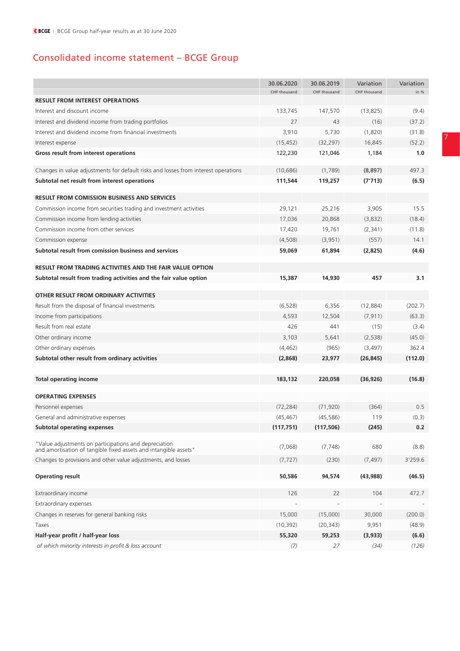# Consolidated income statement – BCGE Group

|                                                                                    | 30.06.2020   | 30.06.2019   | Variation    | Variation |
|------------------------------------------------------------------------------------|--------------|--------------|--------------|-----------|
|                                                                                    | CHF thousand | CHF thousand | CHF thousand | in %      |
| <b>RESULT FROM INTEREST OPERATIONS</b>                                             |              |              |              |           |
| Interest and discount income                                                       | 133,745      | 147,570      | (13, 825)    | (9.4)     |
| Interest and dividend income from trading portfolios                               | 27           | 43           | (16)         | (37.2)    |
| Interest and dividend income from financial investments                            | 3,910        | 5,730        | (1,820)      | (31.8)    |
| Interest expense                                                                   | (15, 452)    | (32, 297)    | 16,845       | (52.2)    |
| Gross result from interest operations                                              | 122,230      | 121,046      | 1,184        | 1.0       |
| Changes in value adjustments for default risks and losses from interest operations | (10, 686)    | (1,789)      | (8, 897)     | 497.3     |
| Subtotal net result from interest operations                                       | 111,544      | 119,257      | (7'713)      | (6.5)     |
| <b>RESULT FROM COMISSION BUSINESS AND SERVICES</b>                                 |              |              |              |           |
| Commission income from securities trading and investment activities                | 29,121       | 25,216       | 3,905        | 15.5      |
| Commission income from lending activities                                          | 17,036       | 20,868       | (3,832)      | (18.4)    |
| Commission income from other services                                              | 17,420       | 19,761       | (2, 341)     | (11.8)    |
| Commission expense                                                                 | (4,508)      | (3,951)      | (557)        | 14.1      |
| Subtotal result from comission business and services                               | 59,069       | 61,894       | (2,825)      | (4.6)     |
| <b>RESULT FROM TRADING ACTIVITIES AND THE FAIR VALUE OPTION</b>                    |              |              |              |           |
|                                                                                    |              |              |              |           |
| Subtotal result from trading activities and the fair value option                  | 15,387       | 14,930       | 457          | 3.1       |
| OTHER RESULT FROM ORDINARY ACTIVITIES                                              |              |              |              |           |
| Result from the disposal of financial investments                                  | (6, 528)     | 6,356        | (12,884)     | (202.7)   |
| Income from participations                                                         | 4,593        | 12,504       | (7, 911)     | (63.3)    |
| Result from real estate                                                            | 426          | 441          | (15)         | (3.4)     |
| Other ordinary income                                                              | 3,103        | 5,641        | (2,538)      | (45.0)    |
| Other ordinary expenses                                                            | (4, 462)     | (965)        | (3, 497)     | 362.4     |
| Subtotal other result from ordinary activities                                     | (2,868)      | 23,977       | (26, 845)    | (112.0)   |
|                                                                                    |              |              |              |           |
| <b>Total operating income</b>                                                      | 183,132      | 220,058      | (36, 926)    | (16.8)    |
| <b>OPERATING EXPENSES</b>                                                          |              |              |              |           |
| Personnel expenses                                                                 | (72, 284)    | (71, 920)    | (364)        | 0.5       |
| General and administrative expenses                                                | (45, 467)    | (45, 586)    | 119          | (0.3)     |
| <b>Subtotal operating expenses</b>                                                 | (117, 751)   | (117, 506)   | (245)        | 0.2       |
| "Value adjustments on participations and depreciation                              |              |              |              |           |
| and amortisation of tangible fixed assets and intangible assets"                   | (7,068)      | (7, 748)     | 680          | (8.8)     |
| Changes to provisions and other value adjustments, and losses                      | (7, 727)     | (230)        | (7, 497)     | 3'259.6   |
| <b>Operating result</b>                                                            | 50,586       | 94,574       | (43,988)     | (46.5)    |
| Extraordinary income                                                               | 126          | 22           | 104          | 472.7     |
| Extraordinary expenses                                                             |              |              |              |           |
| Changes in reserves for general banking risks                                      | 15,000       | (15,000)     | 30,000       | (200.0)   |
| Taxes                                                                              | (10, 392)    | (20, 343)    | 9,951        | (48.9)    |
| Half-year profit / half-year loss                                                  | 55,320       | 59,253       | (3,933)      | (6.6)     |
| of which minority interests in profit & loss account                               | (7)          | 27           | (34)         | (126)     |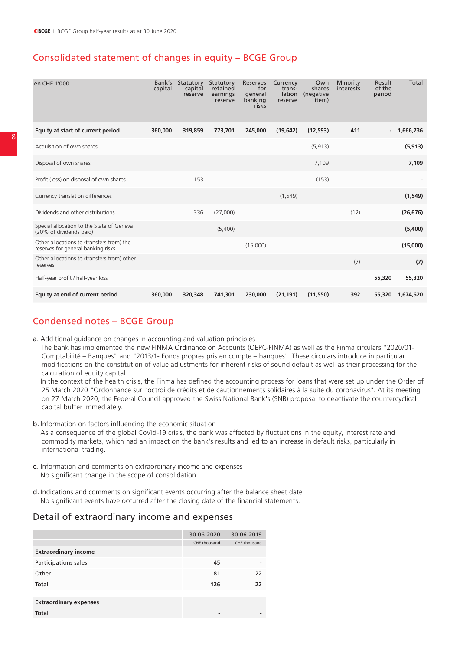## Consolidated statement of changes in equity – BCGE Group

| en CHF 1'000                                                                    | Bank's<br>capital | Statutory<br>capital<br>reserve | Statutory<br>retained<br>earnings<br>reserve | Reserves<br>for<br>general<br>banking<br>risks | Currency<br>trans-<br>lation<br>reserve | Own<br>shares<br>(negative<br>item) | Minority<br>interests | Result<br>of the<br>period | Total     |
|---------------------------------------------------------------------------------|-------------------|---------------------------------|----------------------------------------------|------------------------------------------------|-----------------------------------------|-------------------------------------|-----------------------|----------------------------|-----------|
| Equity at start of current period                                               | 360,000           | 319,859                         | 773,701                                      | 245,000                                        | (19, 642)                               | (12, 593)                           | 411                   |                            | 1,666,736 |
| Acquisition of own shares                                                       |                   |                                 |                                              |                                                |                                         | (5, 913)                            |                       |                            | (5, 913)  |
| Disposal of own shares                                                          |                   |                                 |                                              |                                                |                                         | 7,109                               |                       |                            | 7,109     |
| Profit (loss) on disposal of own shares                                         |                   | 153                             |                                              |                                                |                                         | (153)                               |                       |                            |           |
| Currency translation differences                                                |                   |                                 |                                              |                                                | (1, 549)                                |                                     |                       |                            | (1, 549)  |
| Dividends and other distributions                                               |                   | 336                             | (27,000)                                     |                                                |                                         |                                     | (12)                  |                            | (26, 676) |
| Special allocation to the State of Geneva<br>(20% of dividends paid)            |                   |                                 | (5,400)                                      |                                                |                                         |                                     |                       |                            | (5,400)   |
| Other allocations to (transfers from) the<br>reserves for general banking risks |                   |                                 |                                              | (15,000)                                       |                                         |                                     |                       |                            | (15,000)  |
| Other allocations to (transfers from) other<br>reserves                         |                   |                                 |                                              |                                                |                                         |                                     | (7)                   |                            | (7)       |
| Half-year profit / half-year loss                                               |                   |                                 |                                              |                                                |                                         |                                     |                       | 55,320                     | 55,320    |
| Equity at end of current period                                                 | 360,000           | 320,348                         | 741,301                                      | 230,000                                        | (21, 191)                               | (11,550)                            | 392                   | 55,320                     | 1,674,620 |

### Condensed notes – BCGE Group

a. Additional guidance on changes in accounting and valuation principles

 The bank has implemented the new FINMA Ordinance on Accounts (OEPC-FINMA) as well as the Finma circulars "2020/01- Comptabilité – Banques" and "2013/1- Fonds propres pris en compte – banques". These circulars introduce in particular modifications on the constitution of value adjustments for inherent risks of sound default as well as their processing for the calculation of equity capital.

 In the context of the health crisis, the Finma has defined the accounting process for loans that were set up under the Order of 25 March 2020 "Ordonnance sur l'octroi de crédits et de cautionnements solidaires à la suite du coronavirus". At its meeting on 27 March 2020, the Federal Council approved the Swiss National Bank's (SNB) proposal to deactivate the countercyclical capital buffer immediately.

b. Information on factors influencing the economic situation

 As a consequence of the global CoVid-19 crisis, the bank was affected by fluctuations in the equity, interest rate and commodity markets, which had an impact on the bank's results and led to an increase in default risks, particularly in international trading.

- c. Information and comments on extraordinary income and expenses No significant change in the scope of consolidation
- d. Indications and comments on significant events occurring after the balance sheet date No significant events have occurred after the closing date of the financial statements.

### Detail of extraordinary income and expenses

|                               | 30.06.2020               | 30.06.2019   |
|-------------------------------|--------------------------|--------------|
|                               | CHF thousand             | CHF thousand |
| <b>Extraordinary income</b>   |                          |              |
| Participations sales          | 45                       |              |
| Other                         | 81                       | 22           |
| <b>Total</b>                  | 126                      | 22           |
|                               |                          |              |
| <b>Extraordinary expenses</b> |                          |              |
| <b>Total</b>                  | $\overline{\phantom{0}}$ |              |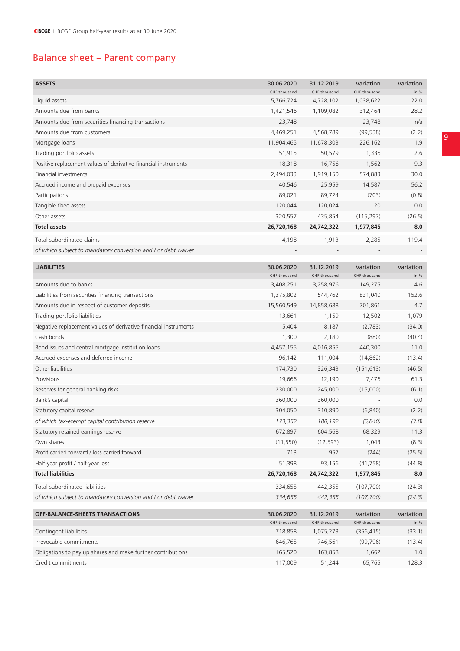# Balance sheet – Parent company

| <b>ASSETS</b>                                                   | 30.06.2020                 | 31.12.2019                 | Variation                 | Variation           |
|-----------------------------------------------------------------|----------------------------|----------------------------|---------------------------|---------------------|
|                                                                 | CHF thousand               | CHF thousand               | CHF thousand              | in %                |
| Liquid assets                                                   | 5,766,724                  | 4,728,102                  | 1,038,622                 | 22.0                |
| Amounts due from banks                                          | 1,421,546                  | 1,109,082                  | 312,464                   | 28.2                |
| Amounts due from securities financing transactions              | 23,748                     |                            | 23,748                    | n/a                 |
| Amounts due from customers                                      | 4,469,251                  | 4,568,789                  | (99, 538)                 | (2.2)               |
| Mortgage loans                                                  | 11,904,465                 | 11,678,303                 | 226,162                   | 1.9                 |
| Trading portfolio assets                                        | 51,915                     | 50,579                     | 1,336                     | 2.6                 |
| Positive replacement values of derivative financial instruments | 18,318                     | 16,756                     | 1,562                     | 9.3                 |
| Financial investments                                           | 2,494,033                  | 1,919,150                  | 574,883                   | 30.0                |
| Accrued income and prepaid expenses                             | 40,546                     | 25,959                     | 14,587                    | 56.2                |
| Participations                                                  | 89,021                     | 89,724                     | (703)                     | (0.8)               |
| Tangible fixed assets                                           | 120,044                    | 120,024                    | 20                        | 0.0                 |
| Other assets                                                    | 320,557                    | 435,854                    | (115, 297)                | (26.5)              |
| <b>Total assets</b>                                             | 26,720,168                 | 24,742,322                 | 1,977,846                 | 8.0                 |
| Total subordinated claims                                       | 4,198                      | 1,913                      | 2,285                     | 119.4               |
| of which subject to mandatory conversion and I or debt waiver   |                            |                            |                           |                     |
| <b>LIABILITIES</b>                                              | 30.06.2020                 | 31.12.2019                 | Variation                 | Variation           |
|                                                                 | CHF thousand               | CHF thousand               | CHF thousand              | in %                |
| Amounts due to banks                                            | 3,408,251                  | 3,258,976                  | 149,275                   | 4.6                 |
| Liabilities from securities financing transactions              | 1,375,802                  | 544,762                    | 831,040                   | 152.6               |
| Amounts due in respect of customer deposits                     | 15,560,549                 | 14,858,688                 | 701,861                   | 4.7                 |
| Trading portfolio liabilities                                   | 13,661                     | 1,159                      | 12,502                    | 1,079               |
| Negative replacement values of derivative financial instruments | 5,404                      | 8,187                      | (2,783)                   | (34.0)              |
| Cash bonds                                                      | 1,300                      | 2,180                      | (880)                     | (40.4)              |
| Bond issues and central mortgage institution loans              | 4,457,155                  | 4,016,855                  | 440,300                   | 11.0                |
| Accrued expenses and deferred income                            | 96,142                     | 111,004                    | (14, 862)                 | (13.4)              |
| Other liabilities                                               | 174,730                    | 326,343                    | (151, 613)                | (46.5)              |
| Provisions                                                      | 19,666                     | 12,190                     | 7,476                     | 61.3                |
| Reserves for general banking risks                              | 230,000                    | 245,000                    | (15,000)                  | (6.1)               |
| Bank's capital                                                  | 360,000                    | 360,000                    |                           | 0.0                 |
| Statutory capital reserve                                       | 304,050                    | 310,890                    | (6, 840)                  | (2.2)               |
| of which tax-exempt capital contribution reserve                | 173,352                    | 180,192                    | (6, 840)                  | (3.8)               |
| Statutory retained earnings reserve                             | 672,897                    | 604,568                    | 68,329                    | 11.3                |
| Own shares                                                      | (11, 550)                  | (12, 593)                  | 1,043                     | (8.3)               |
| Profit carried forward / loss carried forward                   | 713                        | 957                        | (244)                     | (25.5)              |
| Half-year profit / half-year loss                               | 51,398                     | 93,156                     | (41, 758)                 | (44.8)              |
| <b>Total liabilities</b>                                        | 26,720,168                 | 24,742,322                 | 1,977,846                 | 8.0                 |
| Total subordinated liabilities                                  | 334,655                    | 442,355                    | (107, 700)                | (24.3)              |
| of which subject to mandatory conversion and / or debt waiver   | 334,655                    | 442,355                    | (107, 700)                | (24.3)              |
|                                                                 |                            |                            |                           |                     |
| <b>OFF-BALANCE-SHEETS TRANSACTIONS</b>                          | 30.06.2020<br>CHF thousand | 31.12.2019<br>CHF thousand | Variation<br>CHF thousand | Variation<br>in $%$ |
| Contingent liabilities                                          | 718,858                    | 1,075,273                  | (356, 415)                | (33.1)              |
| Irrevocable commitments                                         | 646,765                    | 746,561                    | (99, 796)                 | (13.4)              |
| Obligations to pay up shares and make further contributions     | 165,520                    | 163,858                    | 1,662                     | 1.0                 |
| Credit commitments                                              | 117,009                    | 51,244                     | 65,765                    | 128.3               |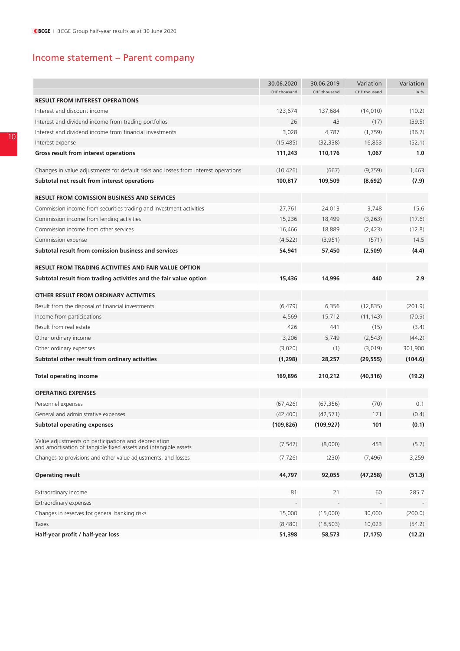# Income statement – Parent company

|                                                                                                                         | 30.06.2020   | 30.06.2019   | Variation    | Variation |
|-------------------------------------------------------------------------------------------------------------------------|--------------|--------------|--------------|-----------|
|                                                                                                                         | CHF thousand | CHF thousand | CHF thousand | in %      |
| <b>RESULT FROM INTEREST OPERATIONS</b>                                                                                  |              |              |              |           |
| Interest and discount income                                                                                            | 123,674      | 137,684      | (14, 010)    | (10.2)    |
| Interest and dividend income from trading portfolios                                                                    | 26           | 43           | (17)         | (39.5)    |
| Interest and dividend income from financial investments                                                                 | 3,028        | 4,787        | (1,759)      | (36.7)    |
| Interest expense                                                                                                        | (15, 485)    | (32, 338)    | 16,853       | (52.1)    |
| Gross result from interest operations                                                                                   | 111,243      | 110,176      | 1,067        | 1.0       |
|                                                                                                                         | (10, 426)    |              |              |           |
| Changes in value adjustments for default risks and losses from interest operations                                      |              | (667)        | (9,759)      | 1,463     |
| Subtotal net result from interest operations                                                                            | 100,817      | 109,509      | (8,692)      | (7.9)     |
| <b>RESULT FROM COMISSION BUSINESS AND SERVICES</b>                                                                      |              |              |              |           |
| Commission income from securities trading and investment activities                                                     | 27,761       | 24,013       | 3,748        | 15.6      |
| Commission income from lending activities                                                                               | 15,236       | 18,499       | (3,263)      | (17.6)    |
| Commission income from other services                                                                                   | 16,466       | 18,889       | (2,423)      | (12.8)    |
| Commission expense                                                                                                      | (4, 522)     | (3,951)      | (571)        | 14.5      |
| Subtotal result from comission business and services                                                                    | 54,941       | 57,450       | (2,509)      | (4.4)     |
|                                                                                                                         |              |              |              |           |
| <b>RESULT FROM TRADING ACTIVITIES AND FAIR VALUE OPTION</b>                                                             |              |              |              |           |
| Subtotal result from trading activities and the fair value option                                                       | 15,436       | 14,996       | 440          | 2.9       |
| OTHER RESULT FROM ORDINARY ACTIVITIES                                                                                   |              |              |              |           |
| Result from the disposal of financial investments                                                                       | (6, 479)     | 6,356        | (12, 835)    | (201.9)   |
| Income from participations                                                                                              | 4,569        | 15,712       | (11, 143)    | (70.9)    |
| Result from real estate                                                                                                 | 426          | 441          | (15)         | (3.4)     |
| Other ordinary income                                                                                                   | 3,206        | 5,749        | (2, 543)     | (44.2)    |
| Other ordinary expenses                                                                                                 | (3,020)      | (1)          | (3,019)      | 301,900   |
| Subtotal other result from ordinary activities                                                                          | (1, 298)     | 28,257       | (29, 555)    | (104.6)   |
|                                                                                                                         |              |              |              |           |
| Total operating income                                                                                                  | 169,896      | 210,212      | (40, 316)    | (19.2)    |
| <b>OPERATING EXPENSES</b>                                                                                               |              |              |              |           |
| Personnel expenses                                                                                                      | (67, 426)    | (67, 356)    | (70)         | 0.1       |
| General and administrative expenses                                                                                     | (42, 400)    | (42, 571)    | 171          | (0.4)     |
| <b>Subtotal operating expenses</b>                                                                                      | (109, 826)   | (109, 927)   | 101          | (0.1)     |
|                                                                                                                         |              |              |              |           |
| Value adjustments on participations and depreciation<br>and amortisation of tangible fixed assets and intangible assets | (7, 547)     | (8,000)      | 453          | (5.7)     |
| Changes to provisions and other value adjustments, and losses                                                           | (7, 726)     | (230)        | (7, 496)     | 3,259     |
| <b>Operating result</b>                                                                                                 | 44,797       | 92,055       | (47, 258)    | (51.3)    |
|                                                                                                                         |              |              |              |           |
| Extraordinary income                                                                                                    | 81           | 21           | 60           | 285.7     |
| Extraordinary expenses                                                                                                  |              |              |              |           |
| Changes in reserves for general banking risks                                                                           | 15,000       | (15,000)     | 30,000       | (200.0)   |
| Taxes                                                                                                                   | (8,480)      | (18, 503)    | 10,023       | (54.2)    |
| Half-year profit / half-year loss                                                                                       | 51,398       | 58,573       | (7, 175)     | (12.2)    |